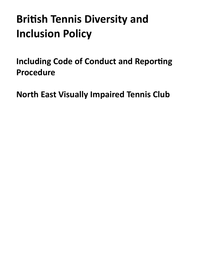# **British Tennis Diversity and Inclusion Policy**

<span id="page-0-0"></span>**Including Code of Conduct and Reporting Procedure** 

**North East Visually Impaired Tennis Club**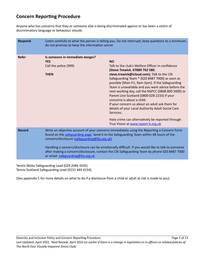# **Concern Reporting Procedure**

Anyone who has concerns that they or someone else is being discriminated against or has been a victim of discriminatory language or behaviour should:

| <b>Respond</b> | Listen carefully to what the person is telling you. Do not interrupt; keep questions to a minimum;<br>do not promise to keep the information secret                                                                                                                                                                                                                                                                                                                          |                                                                                                                                                                                                                                                                                                                                                                                                                                                                                                                                                                                                                                                               |
|----------------|------------------------------------------------------------------------------------------------------------------------------------------------------------------------------------------------------------------------------------------------------------------------------------------------------------------------------------------------------------------------------------------------------------------------------------------------------------------------------|---------------------------------------------------------------------------------------------------------------------------------------------------------------------------------------------------------------------------------------------------------------------------------------------------------------------------------------------------------------------------------------------------------------------------------------------------------------------------------------------------------------------------------------------------------------------------------------------------------------------------------------------------------------|
| <b>Refer</b>   | Is someone in immediate danger?<br><b>YES</b><br>Call the police (999)<br><b>THEN</b>                                                                                                                                                                                                                                                                                                                                                                                        | <b>NO</b><br>Talk to the club's Welfare Officer in confidence<br>(Steve Trewick. 07889 762 580.<br>steve.trewick@icloud.com); Talk to the LTA<br>Safeguarding Team * (020 8487 7000) as soon as<br>possible [Mon-Fri, 9am-5pm]. If the Safeguarding<br>Team is unavailable and you want advice before the<br>next working day, call the NSPCC (0808 800 5000) or<br>Parent Line Scotland (0800 028 2233) if your<br>concerns is about a child.<br>If your concern us about an adult ask them for<br>details of your Local Authority Adult Social Care<br>Services.<br>Hate crime can alternatively be reported through<br>True Vision at www.report-it.org.uk |
| <b>Record</b>  | Write an objective account of your concerns immediately using the Reporting a Concern Form<br>found on the safeguarding page. Send it to the Safeguarding Team within 48 hours of the<br>concern/disclosure (safeguarding@Ita.org.uk)<br>Handling a concern/disclosure can be emotionally difficult. If you would like to talk to someone<br>after making a concern/disclosure, contact the LTA Safeguarding Team by phone 020 8487 7000<br>or email safeguarding@Ita.org.uk |                                                                                                                                                                                                                                                                                                                                                                                                                                                                                                                                                                                                                                                               |

Tennis Wales Safeguarding Lead (029 2046 3335) Tennis Scotland Safeguarding Lead (0131 444 4154).

(See appendix C for more details on what to do if a disclosure from a child or adult at risk is made to you)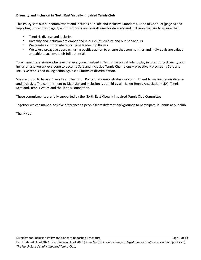# **Diversity and Inclusion in North East Visually Impaired Tennis Club**

This Policy sets out our commitment and includes our Safe and Inclusive Standards, Code of Conduct (page 8) and Reporting Procedure (page 2) and it supports our overall aims for diversity and inclusion that are to ensure that:

- Tennis is diverse and inclusive
- Diversity and inclusion are embedded in our club's culture and our behaviours
- We create a culture where inclusive leadership thrives
- We take a proactive approach using positive action to ensure that communities and individuals are valued and able to achieve their full potential.

To achieve these aims we believe that everyone involved in Tennis has a vital role to play in promoting diversity and inclusion and we ask everyone to become Safe and Inclusive Tennis Champions – proactively promoting Safe and Inclusive tennis and taking action against all forms of discrimination.

We are proud to have a Diversity and Inclusion Policy that demonstrates our commitment to making tennis diverse and inclusive. The commitment to Diversity and Inclusion is upheld by all - Lawn Tennis Association (LTA), Tennis Scotland, Tennis Wales and the Tennis Foundation.

These commitments are fully supported by the North East Visually Impaired Tennis Club Committee.

Together we can make a positive difference to people from different backgrounds to participate in Tennis at our club.

Thank you.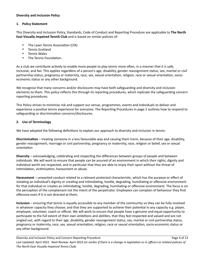#### **Diversity and Inclusion Policy**

#### **1. Policy Statement**

This Diversity and Inclusion Policy, Standards, Code of Conduct and Reporting Procedure are applicable to **The North East Visually Impaired TenniS Club** and is based on similar policies of:

- The Lawn Tennis Association (LTA)
- Tennis Scotland
- Tennis Wales
- The Tennis Foundation.

As a club we contribute actively to enable more people to play tennis more often, in a manner that it is safe, inclusive, and fair. This applies regardless of a person's age, disability, gender reassignment status, sex, marital or civil partnership status, pregnancy or maternity, race, sex, sexual orientation, religion, race or sexual orientation, socioeconomic status or any other background.

We recognise that many concerns and/or disclosures may have both safeguarding and diversity and inclusion elements to them. This policy reflects this through its reporting procedures, which replicate the safeguarding concern reporting procedures.

This Policy strives to minimise risk and support our venue, programmes, events and individuals to deliver and experience a positive tennis experience for everyone. The Reporting Procedures in page 2 outlines how to respond to safeguarding or discrimination concerns/disclosures.

# **2. Use of Terminology**

We have adopted the following definitions to explain our approach to diversity and inclusion in tennis:

**Discrimination** – treating someone in a less favourable way and causing them harm, because of their age, disability, gender reassignment, marriage or civil partnership, pregnancy or maternity, race, religion or belief, sex or sexual orientation

**Diversity** – acknowledging, celebrating and respecting the differences between groups of people and between individuals. We will work to ensure that people can be assured of an environment in which their rights, dignity and individual worth are respected, and in particular that they are able to enjoy their sport without the threat of intimidation, victimisation, harassment or abuse.

**Harassment** – unwanted conduct related to a relevant protected characteristic, which has the purpose or effect of violating an individual's dignity or creating and intimidating, hostile, degrading, humiliating or offensive environment for that individual or creates an intimidating, hostile, degrading, humiliating or offensive environment. The focus is on the perception of the complainant not the intent of the perpetrator. Employees can complain of behaviour they find offensive even if it is not directed at them.

**Inclusion** – ensuring that tennis is equally accessible to any member of the community so they can be fully involved in whatever capacity they choose; and that they are supported to achieve their potential in any capacity e.g. player, employee, volunteer, coach or official. We will work to ensure that people have a genuine and equal opportunity to participate to the full extent of their own ambitions and abilities, that they feel respected and valued and are not singled out, with regard to their age, disability, gender reassignment status, sex, marital or civil partnership status, pregnancy or maternity, race, sex, sexual orientation, religion, race or sexual orientation, socio-economic status or any other background.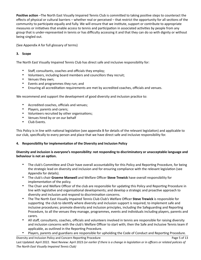**Positive action** –The North East Visually Impaired Tennis Club is committed to taking positive steps to counteract the effects of physical or cultural barriers – whether real or perceived – that restrict the opportunity for all sections of the community to participate equally and fully. We will ensure that we institute, support or contribute to appropriate measures or initiatives that enable access to tennis and participation in associated activities by people from any group that is under-represented in tennis or has difficulty accessing it and that they can do so with dignity or without being singled out.

(See Appendix A for full glossary of terms)

# **3. Scope**

The North East Visually Impaired Tennis Club has direct safe and inclusive responsibility for:

- Staff, consultants, coaches and officials they employ;
- Volunteers, including board members and councillors they recruit;
- Venues they own;
- Events and programmes they run; and
- Ensuring all accreditation requirements are met by accredited coaches, officials and venues.

We recommend and support the development of good diversity and inclusion practice to:

- Accredited coaches, officials and venues;
- Players, parents and carers;
- Volunteers recruited by other organisations;
- Venues hired by or on our behalf
- Club Events.

This Policy is in line with national legislation (see appendix B for details of the relevant legislation) and applicable to our club, specifically to every person and place that we have direct safe and inclusive responsibility for.

# **4. Responsibility for implementation of the Diversity and Inclusion Policy**

# **Diversity and inclusion is everyone's responsibility: not responding to discriminatory or unacceptable language and behaviour is not an option.**

- The club's Committee and Chair have overall accountability for this Policy and Reporting Procedure, for being the strategic lead on diversity and inclusion and for ensuring compliance with the relevant legislation (see Appendix for details).
- The club's chair **Graeme Manwell** and Welfare Officer **Steve Trewick** have overall responsibility for implementation of the policy.
- The Chair and Welfare Officer of the club are responsible for updating this Policy and Reporting Procedure in line with legislative and organisational developments; and develop a strategic and proactive approach to diversity and inclusion and respond to discrimination concerns.
- The The North East Visually Impaired Tennis Club Club's Welfare Officer **Steve Trewick** is responsible for supporting the club to identify where diversity and inclusion support is required; to implement safe and inclusive procedures; promote diversity and inclusion principles, including the Safeguarding and Reporting Procedure, to all the venues they manage, programmes, events and individuals including players, parents and carers.
- All staff, consultants, coaches, officials and volunteers involved in tennis are responsible for raising diversity and inclusion concerns with the club's Welfare Officer to start with; then the Safe and Inclusive Tennis team if applicable, as outlined in the Reporting Procedure.
- Players, parents and guardians are responsible for upholding the Code of Conduct and Reporting Procedure.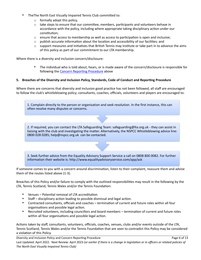- TheThe North East Visually Impaired Tennis Club committed to:
	- $\circ$  formally adopt this policy,
	- $\circ$  take steps to ensure that our committee, members, participants and volunteers behave in accordance with the policy, including where appropriate taking disciplinary action under our constitution;
	- $\circ$  ensure that access to membership as well as access to participation is open and inclusive;
	- $\circ$  publish accurate information about the location and accessibility of our facilities; and
	- $\circ$  support measures and initiatives that British Tennis may institute or take part in to advance the aims of this policy as part of our commitment to our LTA membership.

Where there is a diversity and inclusion concern/disclosure:

• The individual who is told about, hears, or is made aware of the concern/disclosure is responsible for following the [Concern Reporting Procedure](#page-0-0) above

#### **5. Breaches of the Diversity and Inclusion Policy, Standards, Code of Conduct and Reporting Procedure**

Where there are concerns that diversity and inclusion good practice has not been followed, all staff are encouraged to follow the club's whistleblowing policy; consultants, coaches, officials, volunteers and players are encouraged to:

1. Complain directly to the person or organisation and seek resolution. In the first instance, this can often resolve many disputes or concerns.

2. If required, you can contact the LTA Safeguarding Team: safeguarding@lta.org.uk - they can assist in liaising with the club and investigating the matter. Alternatively, the NSPCC Whistleblowing advice line: 0800 028 0285; help@nspcc.org.uk can be contacted.

3. Seek further advice from the Equality Advisory Support Service a call on 0808 800 0082. For further information their website is: http://www.equalityadvisoryservice.com/app/ask

If someone comes to you with a concern around discrimination, listen to their complaint, reassure them and advise them of the routes listed above (1-3).

Breaches of this Policy and/or failure to comply with the outlined responsibilities may result in the following by the LTA, Tennis Scotland, Tennis Wales and/or the Tennis Foundation:

- Venues Potential removal of LTA accreditation
- Staff disciplinary action leading to possible dismissal and legal action.
- Contracted consultants, officials and coaches termination of current and future roles within all four organisations and possible legal action.
- Recruited volunteers, including councillors and board members termination of current and future roles within all four organisations and possible legal action.

Actions taken by staff, consultants, volunteers, officials, coaches, venues, clubs and/or events outside of the LTA, Tennis Scotland, Tennis Wales and/or the Tennis Foundation that are seen to contradict this Policy may be considered a violation of this Policy.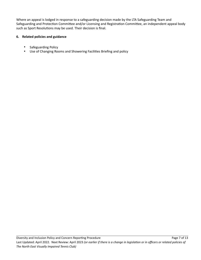Where an appeal is lodged in response to a safeguarding decision made by the LTA Safeguarding Team and Safeguarding and Protection Committee and/or Licensing and Registration Committee, an independent appeal body such as Sport Resolutions may be used. Their decision is final.

# **6. Related policies and guidance**

- Safeguarding Policy
- Use of Changing Rooms and Showering Facilities Briefing and policy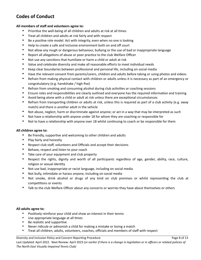# **Codes of Conduct**

## **All members of staff and volunteers agree to:**

- Prioritise the well-being of all children and adults at risk at all times
- Treat all children and adults at risk fairly and with respect
- Be a positive role model. Act with integrity, even when no one is looking
- Help to create a safe and inclusive environment both on and off court
- Not allow any rough or dangerous behaviour, bullying or the use of bad or inappropriate language
- Report all allegations of abuse or poor practice to the club Welfare Officer
- Not use any sanctions that humiliate or harm a child or adult at risk
- Value and celebrate diversity and make all reasonable efforts to meet individual needs
- Keep clear boundaries between professional and personal life, including on social media
- Have the relevant consent from parents/carers, children and adults before taking or using photos and videos
- Refrain from making physical contact with children or adults unless it is necessary as part of an emergency or congratulatory (e.g. handshake / high five)
- Refrain from smoking and consuming alcohol during club activities or coaching sessions
- Ensure roles and responsibilities are clearly outlined and everyone has the required information and training
- Avoid being alone with a child or adult at risk unless there are exceptional circumstances
- Refrain from transporting children or adults at risk, unless this is required as part of a club activity (e.g. away match) and there is another adult in the vehicle
- Not abuse, neglect, harm or discriminate against anyone; or act in a way that may be interpreted as such
- Not have a relationship with anyone under 18 for whom they are coaching or responsible for
- Not to have a relationship with anyone over 18 whilst continuing to coach or be responsible for them

# **All children agree to:**

- Be friendly, supportive and welcoming to other children and adults
- Play fairly and honestly
- Respect club staff, volunteers and Officials and accept their decisions
- Behave, respect and listen to your coach
- Take care of your equipment and club property
- Respect the rights, dignity and worth of all participants regardless of age, gender, ability, race, culture, religion or sexual identity
- Not use bad, inappropriate or racist language, including on social media
- Not bully, intimidate or harass anyone, including on social media
- Not smoke, drink alcohol or drugs of any kind on club premises or whilst representing the club at competitions or events
- Talk to the club Welfare Officer about any concerns or worries they have about themselves or others

# **All adults agree to:**

- Positively reinforce your child and show an interest in their tennis
- Use appropriate language at all times
- Be realistic and supportive
- Never ridicule or admonish a child for making a mistake or losing a match
- Treat all children, adults, volunteers, coaches, officials and members of staff with respect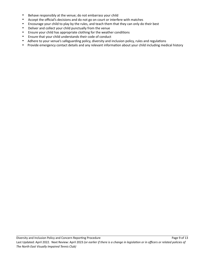- Behave responsibly at the venue; do not embarrass your child
- Accept the official's decisions and do not go on court or interfere with matches
- Encourage your child to play by the rules, and teach them that they can only do their best
- Deliver and collect your child punctually from the venue
- Ensure your child has appropriate clothing for the weather conditions
- Ensure that your child understands their code of conduct
- Adhere to your venue's safeguarding policy, diversity and inclusion policy, rules and regulations
- Provide emergency contact details and any relevant information about your child including medical history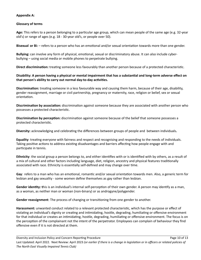#### **Appendix A:**

#### **Glossary of terms**

**Age:** This refers to a person belonging to a particular age group, which can mean people of the same age (e.g. 32-year old's) or range of ages (e.g. 18 - 30-year old's, or people over 50).

**Bisexual or Bi:** – refers to a person who has an emotional and/or sexual orientation towards more than one gender.

**Bullying:** can involve any form of physical, emotional, sexual or discriminatory abuse. It can also include cyberbullying – using social media or mobile phones to perpetrate bullying.

**Direct discrimination:** treating someone less favourably than another person because of a protected characteristic.

#### **Disability: A person having a physical or mental impairment that has a substantial and long-term adverse effect on that person's ability to carry out normal day-to-day activities.**

**Discrimination:** treating someone in a less favourable way and causing them harm, because of their age, disability, gender reassignment, marriage or civil partnership, pregnancy or maternity, race, religion or belief, sex or sexual orientation.

**Discrimination by association:** discrimination against someone because they are associated with another person who possesses a protected characteristic.

**Discrimination by perception:** discrimination against someone because of the belief that someone possesses a protected characteristic.

**Diversity:** acknowledging and celebrating the differences between groups of people and between individuals**.**

**Equality**: treating everyone with fairness and respect and recognising and responding to the needs of individuals. Taking positive actions to address existing disadvantages and barriers affecting how people engage with and participate in tennis.

**Ethnicity**: the social group a person belongs to, and either identifies with or is identified with by others, as a result of a mix of cultural and other factors including language, diet, religion, ancestry and physical features traditionally associated with race. Ethnicity is essentially self-defined and may change over time.

**Gay**: refers to a man who has an emotional, romantic and/or sexual orientation towards men. Also, a generic term for lesbian and gay sexuality - some women define themselves as gay rather than lesbian.

**Gender identity: t**his is an individual's internal self-perception of their own gender. A person may identify as a man, as a woman, as neither man or woman (non-binary) or as androgyne/polygender.

**Gender reassignment**: The process of changing or transitioning from one gender to another.

**Harassment:** unwanted conduct related to a relevant protected characteristic, which has the purpose or effect of violating an individual's dignity or creating and intimidating, hostile, degrading, humiliating or offensive environment for that individual or creates an intimidating, hostile, degrading, humiliating or offensive environment. The focus is on the perception of the complainant not the intent of the perpetrator. Employees can complain of behaviour they find offensive even if it is not directed at them.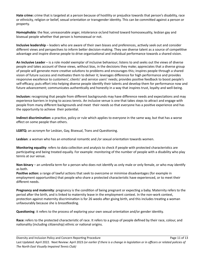**Hate crime:** crime that is targeted at a person because of hostility or prejudice towards that person's disability, race or ethnicity, religion or belief, sexual orientation or transgender identity. This can be committed against a person or property.

**Homophobia**: the fear, unreasonable anger, intolerance or/and hatred toward homosexuality, lesbian gay and bisexual people whether that person is homosexual or not.

**Inclusive leadership** – leaders who are aware of their own biases and preferences, actively seek out and consider different views and perspectives to inform better decision-making. They see diverse talent as a source of competitive advantage and inspire diverse people to drive organisational and individual performance towards a shared vision.

**An Inclusive Leader** – is a role model exemplar of inclusive behaviour; listens to and seeks out the views of diverse people and takes account of these views, without bias, in the decisions they make; appreciates that a diverse group of people will generate more creative solutions to problems and encourages this; inspires people through a shared vision of future success and motivates them to deliver it; leverages difference for high performance and provides responsive excellence to customers', clients' and service users' needs; provides positive feedback to boost people's self-efficacy; puts effort into helping diverse people identify their talents and develop them for performance now and future advancement; communicates authentically and honestly in a way that inspires trust, loyalty and well-being.

**Inclusion:** recognising that people from different backgrounds may have difference needs and expectations and may experience barriers in trying to access tennis. An inclusive venue is one that takes steps to attract and engage with people from many different backgrounds and meet their needs so that everyone has a positive experience and has the opportunity to achieve their potential.

**Indirect discrimination:** a practice, policy or rule which applies to everyone in the same way, but that has a worse effect on some people than others.

**LGBTQ:** an acronym for Lesbian, Gay, Bisexual, Trans and Questioning.

**Lesbian**: a woman who has an emotional romantic and /or sexual orientation towards women.

**Monitoring equality**: refers to data collection and analysis to check if people with protected characteristics are participating and being treated equally. For example: monitoring of the number of people with a disability who play tennis at our venue.

**Non-binary** – an umbrella term for a person who does not identify as only male or only female, or who may identify as both.

**Positive action:** a range of lawful actions that seek to overcome or minimise disadvantages (for example in employment opportunities) that people who share a protected characteristic have experienced, or to meet their different needs.

**Pregnancy and maternity**: pregnancy is the condition of being pregnant or expecting a baby. Maternity refers to the period after the birth, and is linked to maternity leave in the employment context. In the non-work context, protection against maternity discrimination is for 26 weeks after giving birth, and this includes treating a woman unfavourably because she is breastfeeding.

**Questioning**: it refers to the process of exploring your own sexual orientation and/or gender identity.

**Race:** refers to the protected characteristic of race. It refers to a group of people defined by their race, colour, and nationality (including citizenship) ethnic or national origins.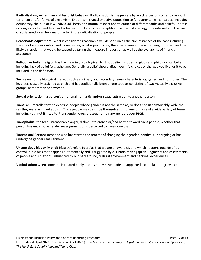**Radicalisation, extremism and terrorist behavior**: Radicalisation is the process by which a person comes to support terrorism and/or forms of extremism. Extremism is vocal or active opposition to fundamental British values, including democracy, the rule of law, individual liberty and mutual respect and tolerance of different faiths and beliefs. There is no single way to identify an individual who is likely to be susceptible to extremist ideology. The internet and the use of social media can be a major factor in the radicalisation of people.

**Reasonable adjustment**: What is considered reasonable will depend on all the circumstances of the case including the size of an organisation and its resources, what is practicable, the effectiveness of what is being proposed and the likely disruption that would be caused by taking the measure in question as well as the availability of financial assistance

**Religion or belief:** religion has the meaning usually given to it but belief includes religious and philosophical beliefs including lack of belief (e.g. atheism). Generally, a belief should affect your life choices or the way you live for it to be included in the definition.

**Sex:** refers to the biological makeup such as primary and secondary sexual characteristics, genes, and hormones. The legal sex is usually assigned at birth and has traditionally been understood as consisting of two mutually exclusive groups, namely men and women.

**Sexual orientation:** a person's emotional, romantic and/or sexual attraction to another person.

**Trans:** an umbrella term to describe people whose gender is not the same as, or does not sit comfortably with, the sex they were assigned at birth. Trans people may describe themselves using one or more of a wide variety of terms, including (but not limited to) transgender, cross dresser, non-binary, genderqueer (GQ).

**Transphobia**: the fear, unreasonable anger, dislike, intolerance or/and hatred toward trans people, whether that person has undergone gender reassignment or is perceived to have done that.

**Transsexual Person:** someone who has started the process of changing their gender identity is undergoing or has undergone gender reassignment.

**Unconscious bias or implicit bias:** this refers to a bias that we are unaware of, and which happens outside of our control. It is a bias that happens automatically and is triggered by our brain making quick judgments and assessments of people and situations, influenced by our background, cultural environment and personal experiences.

**Victimisation:** when someone is treated badly because they have made or supported a complaint or grievance.